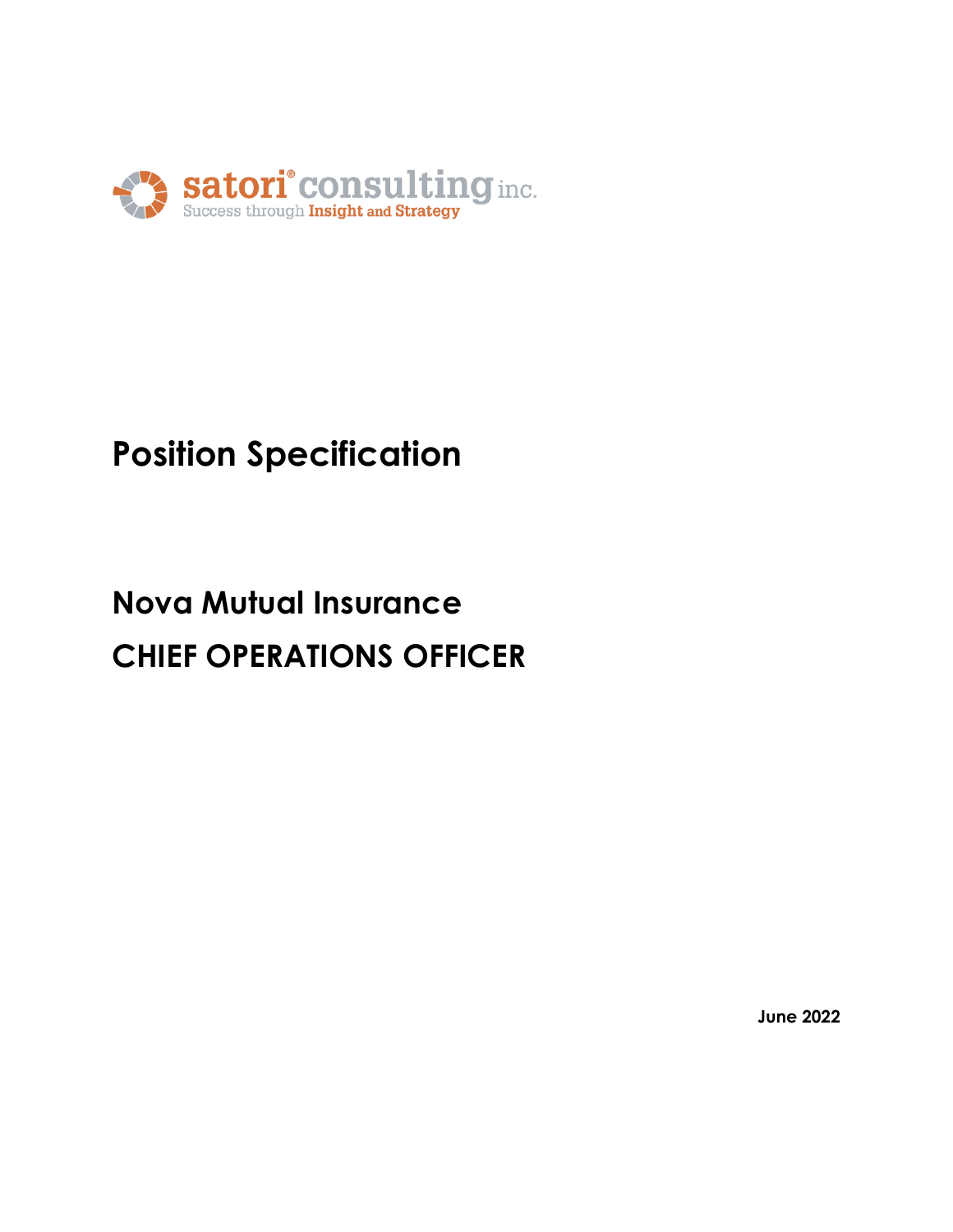

## **Position Specification**

# **Nova Mutual Insurance CHIEF OPERATIONS OFFICER**

**June 2022**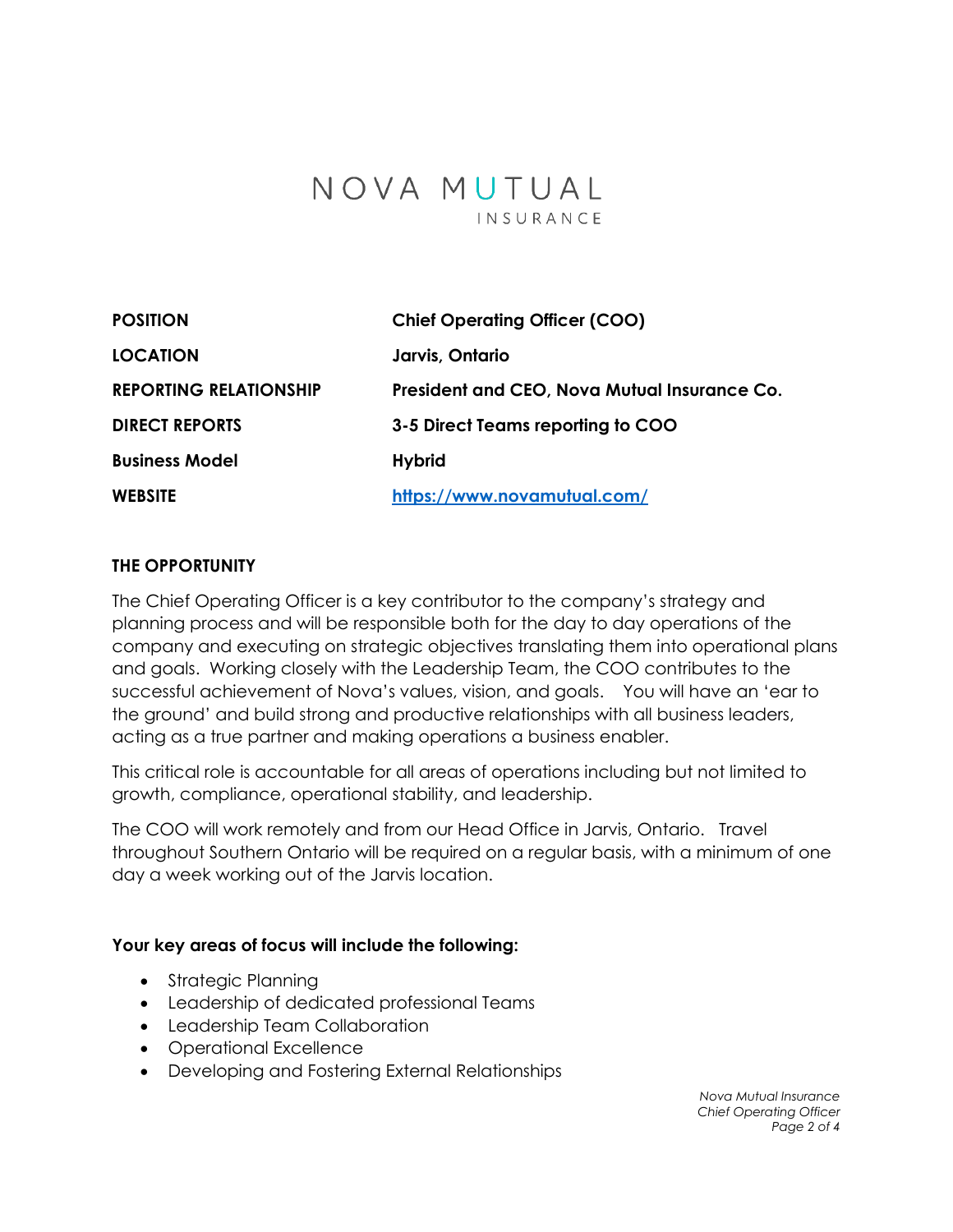### NOVA MUTUAL INSURANCE

| <b>POSITION</b>               | <b>Chief Operating Officer (COO)</b>         |
|-------------------------------|----------------------------------------------|
| <b>LOCATION</b>               | Jarvis, Ontario                              |
| <b>REPORTING RELATIONSHIP</b> | President and CEO, Nova Mutual Insurance Co. |
| <b>DIRECT REPORTS</b>         | 3-5 Direct Teams reporting to COO            |
| <b>Business Model</b>         | <b>Hybrid</b>                                |
| <b>WEBSITE</b>                | https://www.novamutual.com/                  |

#### **THE OPPORTUNITY**

The Chief Operating Officer is a key contributor to the company's strategy and planning process and will be responsible both for the day to day operations of the company and executing on strategic objectives translating them into operational plans and goals. Working closely with the Leadership Team, the COO contributes to the successful achievement of Nova's values, vision, and goals. You will have an 'ear to the ground' and build strong and productive relationships with all business leaders, acting as a true partner and making operations a business enabler.

This critical role is accountable for all areas of operations including but not limited to growth, compliance, operational stability, and leadership.

The COO will work remotely and from our Head Office in Jarvis, Ontario. Travel throughout Southern Ontario will be required on a regular basis, with a minimum of one day a week working out of the Jarvis location.

#### **Your key areas of focus will include the following:**

- Strategic Planning
- Leadership of dedicated professional Teams
- Leadership Team Collaboration
- Operational Excellence
- Developing and Fostering External Relationships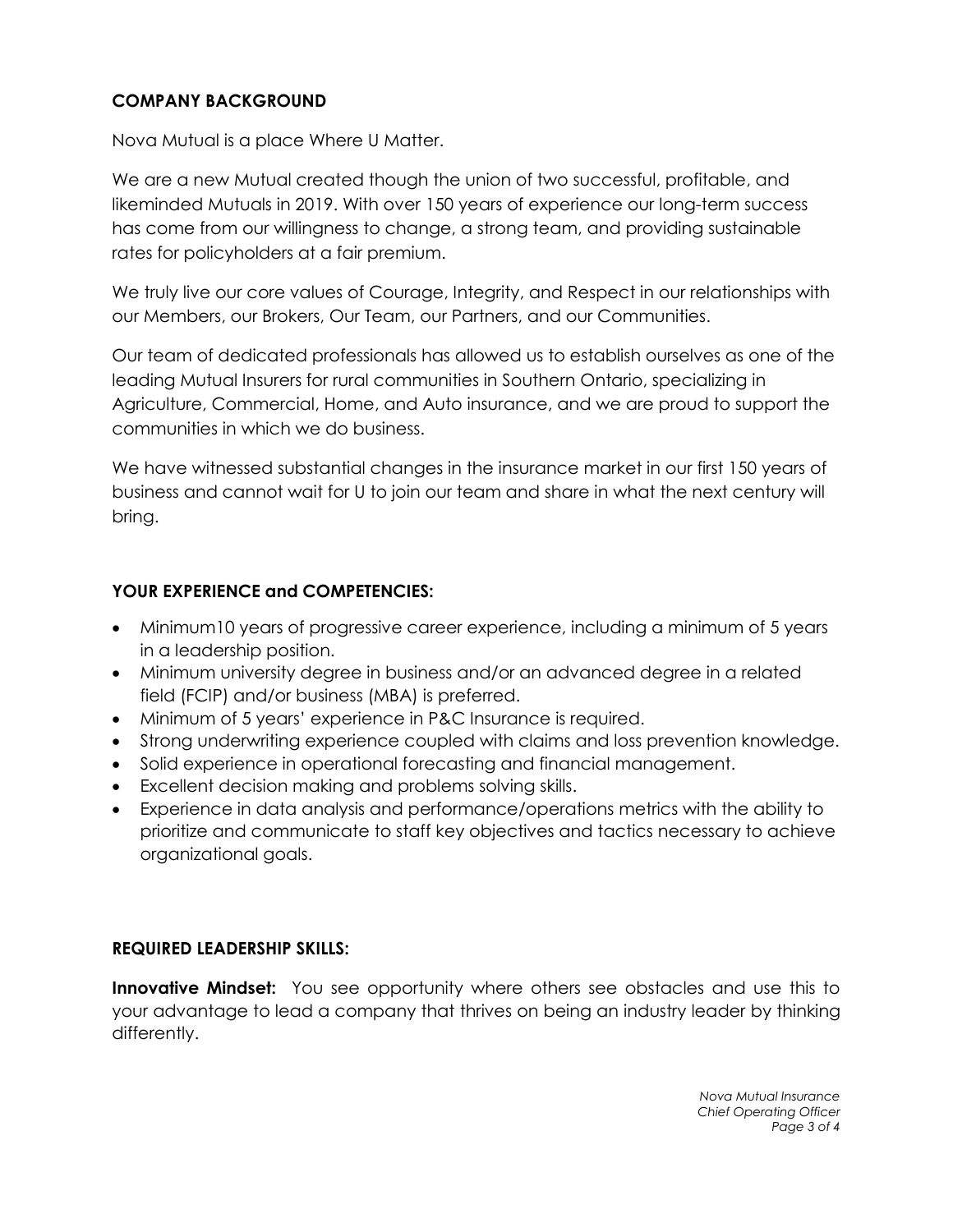#### **COMPANY BACKGROUND**

Nova Mutual is a place Where U Matter.

We are a new Mutual created though the union of two successful, profitable, and likeminded Mutuals in 2019. With over 150 years of experience our long-term success has come from our willingness to change, a strong team, and providing sustainable rates for policyholders at a fair premium.

We truly live our core values of Courage, Integrity, and Respect in our relationships with our Members, our Brokers, Our Team, our Partners, and our Communities.

Our team of dedicated professionals has allowed us to establish ourselves as one of the leading Mutual Insurers for rural communities in Southern Ontario, specializing in Agriculture, Commercial, Home, and Auto insurance, and we are proud to support the communities in which we do business.

We have witnessed substantial changes in the insurance market in our first 150 years of business and cannot wait for U to join our team and share in what the next century will bring.

#### **YOUR EXPERIENCE and COMPETENCIES:**

- Minimum10 years of progressive career experience, including a minimum of 5 years in a leadership position.
- Minimum university degree in business and/or an advanced degree in a related field (FCIP) and/or business (MBA) is preferred.
- Minimum of 5 years' experience in P&C Insurance is required.
- Strong underwriting experience coupled with claims and loss prevention knowledge.
- Solid experience in operational forecasting and financial management.
- Excellent decision making and problems solving skills.
- Experience in data analysis and performance/operations metrics with the ability to prioritize and communicate to staff key objectives and tactics necessary to achieve organizational goals.

#### **REQUIRED LEADERSHIP SKILLS:**

**Innovative Mindset:** You see opportunity where others see obstacles and use this to your advantage to lead a company that thrives on being an industry leader by thinking differently.